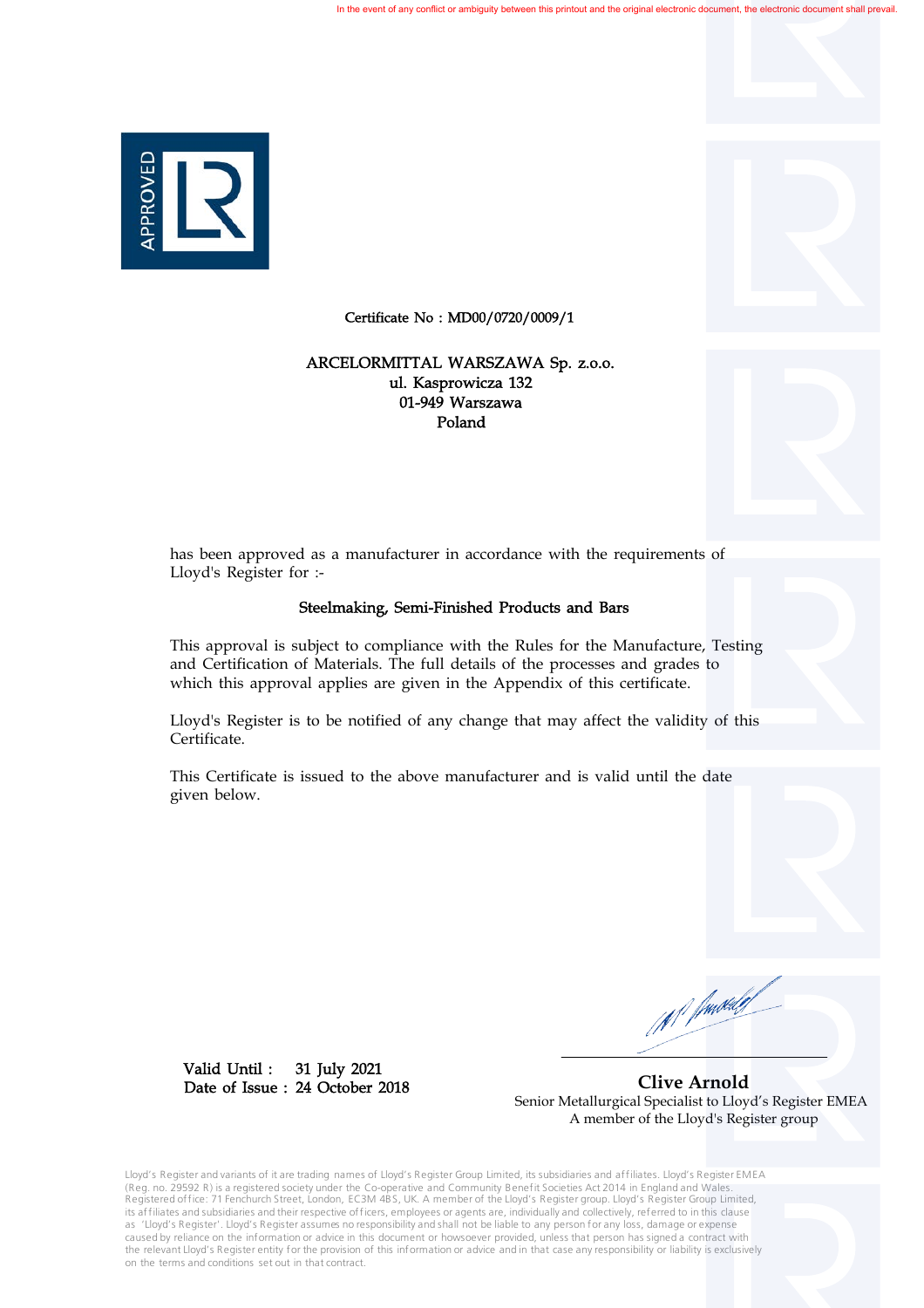

Certificate No : MD00/0720/0009/1

## 01-949 Warszawa Poland ul. Kasprowicza 132 ARCELORMITTAL WARSZAWA Sp. z.o.o.

has been approved as a manufacturer in accordance with the requirements of Lloyd's Register for :-

## Steelmaking, Semi-Finished Products and Bars

This approval is subject to compliance with the Rules for the Manufacture, Testing and Certification of Materials. The full details of the processes and grades to which this approval applies are given in the Appendix of this certificate.

Lloyd's Register is to be notified of any change that may affect the validity of this Certificate.

This Certificate is issued to the above manufacturer and is valid until the date given below.

(N<sup>.f</sup> frustalef

31 July 2021 24 October 2018 Date of Issue : Valid Until :

 **Clive Arnold** Senior Metallurgical Specialist to Lloyd's Register EMEA A member of the Lloyd's Register group

Lloyd's Register and variants of it are trading names of Lloyd's Register Group Limited, its subsidiaries and affiliates. Lloyd's Register EMEA (Reg. no. 29592 R) is a registered society under the Co-operative and Community Benefit Societies Act 2014 in England and Wales.<br>Registered office: 71 Fenchurch Street, London, EC3M 4BS, UK. A member of the Lloyd's Registe its affiliates and subsidiaries and their respective officers, employees or agents are, individually and collectively, referred to in this clause as 'Lloyd's Register'. Lloyd's Register assumes no responsibility and shall not be liable to any person for any loss, damage or expense caused by reliance on the information or advice in this document or howsoever provided, unless that person has signed a contract with the relevant Lloyd's Register entity for the provision of this information or advice and in that case any responsibility or liability is exclusively on the terms and conditions set out in that contract.